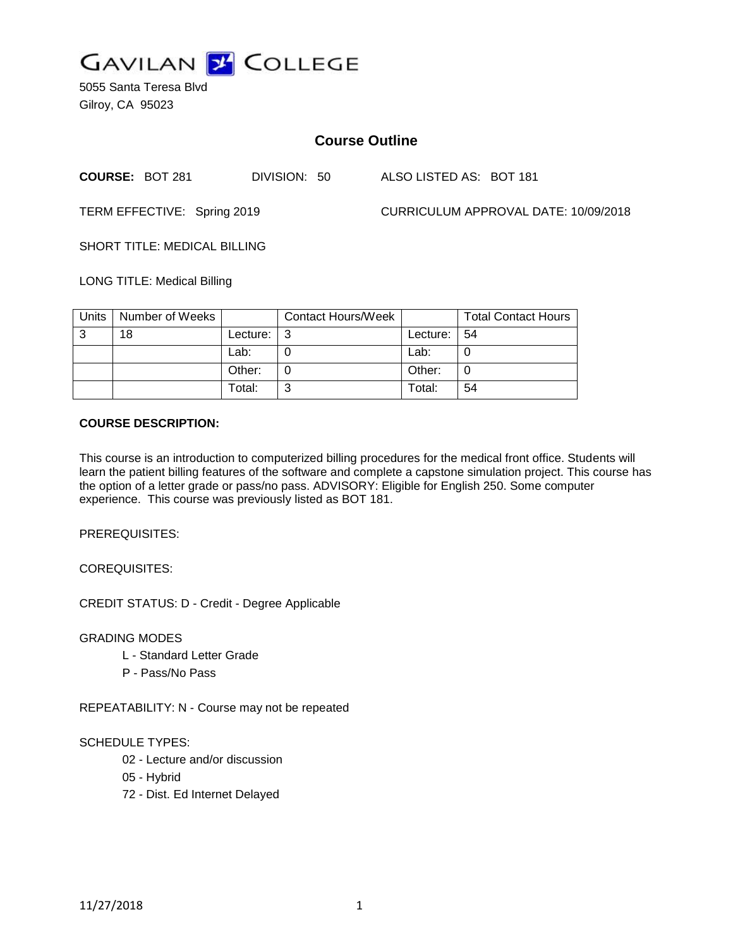

5055 Santa Teresa Blvd Gilroy, CA 95023

# **Course Outline**

**COURSE:** BOT 281 DIVISION: 50 ALSO LISTED AS: BOT 181

TERM EFFECTIVE: Spring 2019 CURRICULUM APPROVAL DATE: 10/09/2018

SHORT TITLE: MEDICAL BILLING

LONG TITLE: Medical Billing

| Units | Number of Weeks |          | <b>Contact Hours/Week</b> |          | <b>Total Contact Hours</b> |
|-------|-----------------|----------|---------------------------|----------|----------------------------|
| -3    | 18              | Lecture: | ີ                         | Lecture: | -54                        |
|       |                 | Lab:     |                           | Lab:     |                            |
|       |                 | Other:   |                           | Other:   | 0                          |
|       |                 | Total:   |                           | Total:   | 54                         |

#### **COURSE DESCRIPTION:**

This course is an introduction to computerized billing procedures for the medical front office. Students will learn the patient billing features of the software and complete a capstone simulation project. This course has the option of a letter grade or pass/no pass. ADVISORY: Eligible for English 250. Some computer experience. This course was previously listed as BOT 181.

PREREQUISITES:

COREQUISITES:

CREDIT STATUS: D - Credit - Degree Applicable

GRADING MODES

- L Standard Letter Grade
- P Pass/No Pass

REPEATABILITY: N - Course may not be repeated

#### SCHEDULE TYPES:

- 02 Lecture and/or discussion
- 05 Hybrid
- 72 Dist. Ed Internet Delayed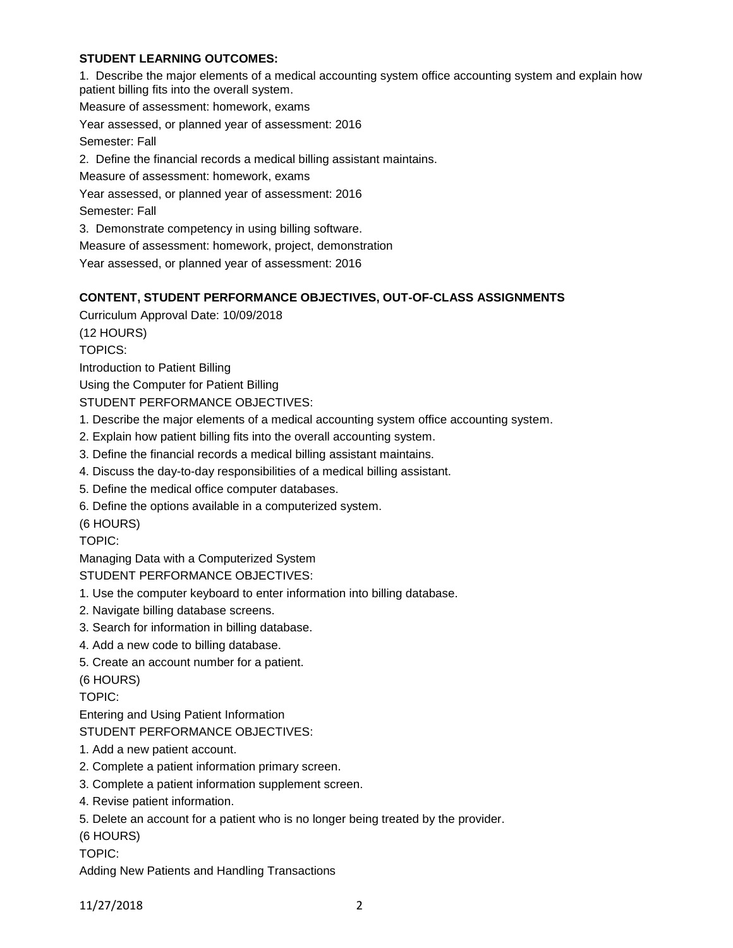# **STUDENT LEARNING OUTCOMES:**

1. Describe the major elements of a medical accounting system office accounting system and explain how patient billing fits into the overall system.

Measure of assessment: homework, exams

Year assessed, or planned year of assessment: 2016

Semester: Fall

2. Define the financial records a medical billing assistant maintains.

Measure of assessment: homework, exams

Year assessed, or planned year of assessment: 2016

Semester: Fall

3. Demonstrate competency in using billing software.

Measure of assessment: homework, project, demonstration

Year assessed, or planned year of assessment: 2016

# **CONTENT, STUDENT PERFORMANCE OBJECTIVES, OUT-OF-CLASS ASSIGNMENTS**

Curriculum Approval Date: 10/09/2018

(12 HOURS)

TOPICS:

Introduction to Patient Billing

Using the Computer for Patient Billing

STUDENT PERFORMANCE OBJECTIVES:

- 1. Describe the major elements of a medical accounting system office accounting system.
- 2. Explain how patient billing fits into the overall accounting system.
- 3. Define the financial records a medical billing assistant maintains.
- 4. Discuss the day-to-day responsibilities of a medical billing assistant.
- 5. Define the medical office computer databases.
- 6. Define the options available in a computerized system.

(6 HOURS)

TOPIC:

Managing Data with a Computerized System

STUDENT PERFORMANCE OBJECTIVES:

- 1. Use the computer keyboard to enter information into billing database.
- 2. Navigate billing database screens.
- 3. Search for information in billing database.
- 4. Add a new code to billing database.
- 5. Create an account number for a patient.

(6 HOURS)

TOPIC:

Entering and Using Patient Information

STUDENT PERFORMANCE OBJECTIVES:

- 1. Add a new patient account.
- 2. Complete a patient information primary screen.
- 3. Complete a patient information supplement screen.
- 4. Revise patient information.
- 5. Delete an account for a patient who is no longer being treated by the provider.

(6 HOURS)

TOPIC:

Adding New Patients and Handling Transactions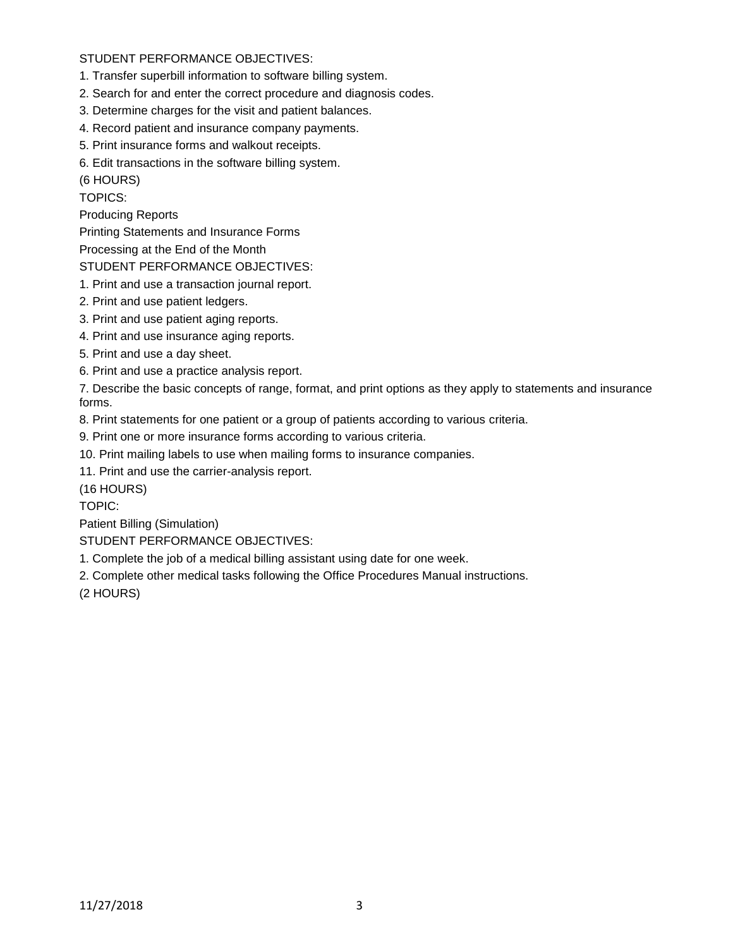# STUDENT PERFORMANCE OBJECTIVES:

- 1. Transfer superbill information to software billing system.
- 2. Search for and enter the correct procedure and diagnosis codes.
- 3. Determine charges for the visit and patient balances.
- 4. Record patient and insurance company payments.
- 5. Print insurance forms and walkout receipts.
- 6. Edit transactions in the software billing system.

(6 HOURS)

TOPICS:

Producing Reports

Printing Statements and Insurance Forms

Processing at the End of the Month

#### STUDENT PERFORMANCE OBJECTIVES:

- 1. Print and use a transaction journal report.
- 2. Print and use patient ledgers.
- 3. Print and use patient aging reports.
- 4. Print and use insurance aging reports.
- 5. Print and use a day sheet.
- 6. Print and use a practice analysis report.

7. Describe the basic concepts of range, format, and print options as they apply to statements and insurance forms.

8. Print statements for one patient or a group of patients according to various criteria.

9. Print one or more insurance forms according to various criteria.

10. Print mailing labels to use when mailing forms to insurance companies.

11. Print and use the carrier-analysis report.

(16 HOURS)

TOPIC:

Patient Billing (Simulation)

# STUDENT PERFORMANCE OBJECTIVES:

1. Complete the job of a medical billing assistant using date for one week.

2. Complete other medical tasks following the Office Procedures Manual instructions.

(2 HOURS)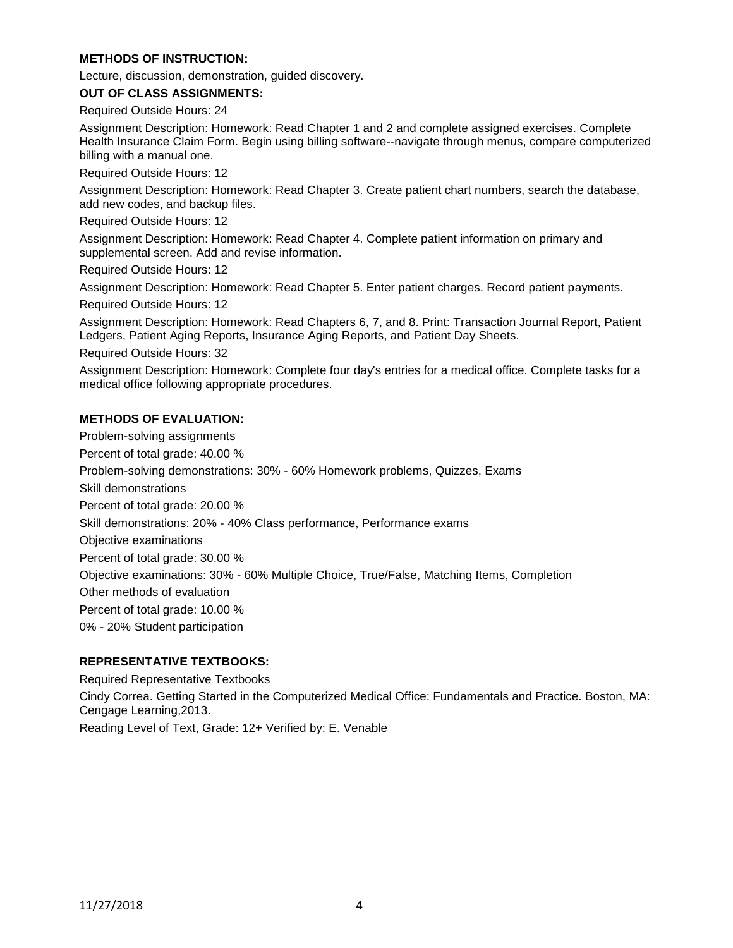# **METHODS OF INSTRUCTION:**

Lecture, discussion, demonstration, guided discovery.

**OUT OF CLASS ASSIGNMENTS:**

Required Outside Hours: 24

Assignment Description: Homework: Read Chapter 1 and 2 and complete assigned exercises. Complete Health Insurance Claim Form. Begin using billing software--navigate through menus, compare computerized billing with a manual one.

Required Outside Hours: 12

Assignment Description: Homework: Read Chapter 3. Create patient chart numbers, search the database, add new codes, and backup files.

Required Outside Hours: 12

Assignment Description: Homework: Read Chapter 4. Complete patient information on primary and supplemental screen. Add and revise information.

Required Outside Hours: 12

Assignment Description: Homework: Read Chapter 5. Enter patient charges. Record patient payments.

Required Outside Hours: 12

Assignment Description: Homework: Read Chapters 6, 7, and 8. Print: Transaction Journal Report, Patient Ledgers, Patient Aging Reports, Insurance Aging Reports, and Patient Day Sheets.

Required Outside Hours: 32

Assignment Description: Homework: Complete four day's entries for a medical office. Complete tasks for a medical office following appropriate procedures.

# **METHODS OF EVALUATION:**

Problem-solving assignments Percent of total grade: 40.00 % Problem-solving demonstrations: 30% - 60% Homework problems, Quizzes, Exams Skill demonstrations Percent of total grade: 20.00 % Skill demonstrations: 20% - 40% Class performance, Performance exams Objective examinations Percent of total grade: 30.00 % Objective examinations: 30% - 60% Multiple Choice, True/False, Matching Items, Completion Other methods of evaluation Percent of total grade: 10.00 % 0% - 20% Student participation

# **REPRESENTATIVE TEXTBOOKS:**

Required Representative Textbooks

Cindy Correa. Getting Started in the Computerized Medical Office: Fundamentals and Practice. Boston, MA: Cengage Learning,2013. Reading Level of Text, Grade: 12+ Verified by: E. Venable